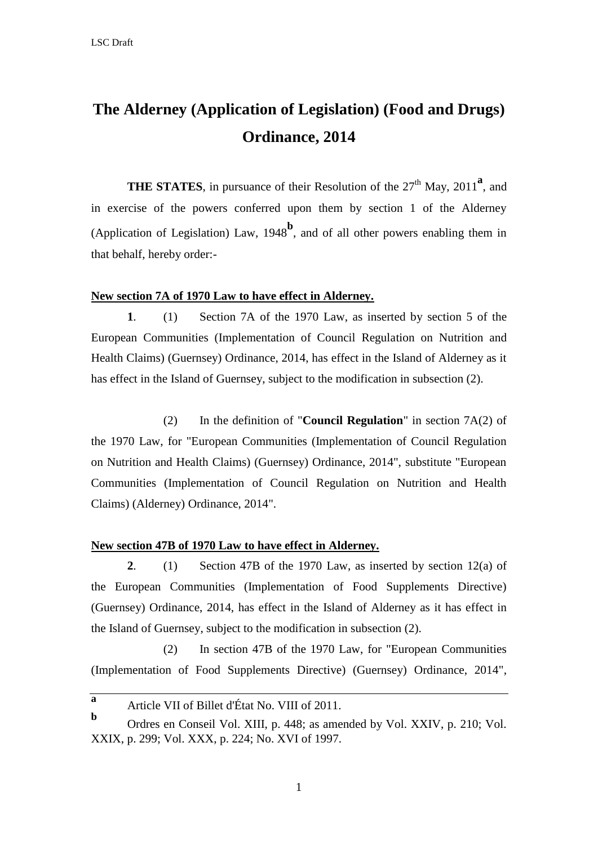# **The Alderney (Application of Legislation) (Food and Drugs) Ordinance, 2014**

**THE STATES**, in pursuance of their Resolution of the  $27<sup>th</sup>$  May,  $2011<sup>a</sup>$ , and in exercise of the powers conferred upon them by section 1 of the Alderney (Application of Legislation) Law,  $1948^b$ , and of all other powers enabling them in that behalf, hereby order:-

## **New section 7A of 1970 Law to have effect in Alderney.**

**1**. (1) Section 7A of the 1970 Law, as inserted by section 5 of the European Communities (Implementation of Council Regulation on Nutrition and Health Claims) (Guernsey) Ordinance, 2014, has effect in the Island of Alderney as it has effect in the Island of Guernsey, subject to the modification in subsection (2).

(2) In the definition of "**Council Regulation**" in section 7A(2) of the 1970 Law, for "European Communities (Implementation of Council Regulation on Nutrition and Health Claims) (Guernsey) Ordinance, 2014", substitute "European Communities (Implementation of Council Regulation on Nutrition and Health Claims) (Alderney) Ordinance, 2014".

# **New section 47B of 1970 Law to have effect in Alderney.**

**2**. (1) Section 47B of the 1970 Law, as inserted by section 12(a) of the European Communities (Implementation of Food Supplements Directive) (Guernsey) Ordinance, 2014, has effect in the Island of Alderney as it has effect in the Island of Guernsey, subject to the modification in subsection (2).

(2) In section 47B of the 1970 Law, for "European Communities (Implementation of Food Supplements Directive) (Guernsey) Ordinance, 2014",

1

**a** Article VII of Billet d'État No. VIII of 2011.

**b** Ordres en Conseil Vol. XIII, p. 448; as amended by Vol. XXIV, p. 210; Vol. XXIX, p. 299; Vol. XXX, p. 224; No. XVI of 1997.